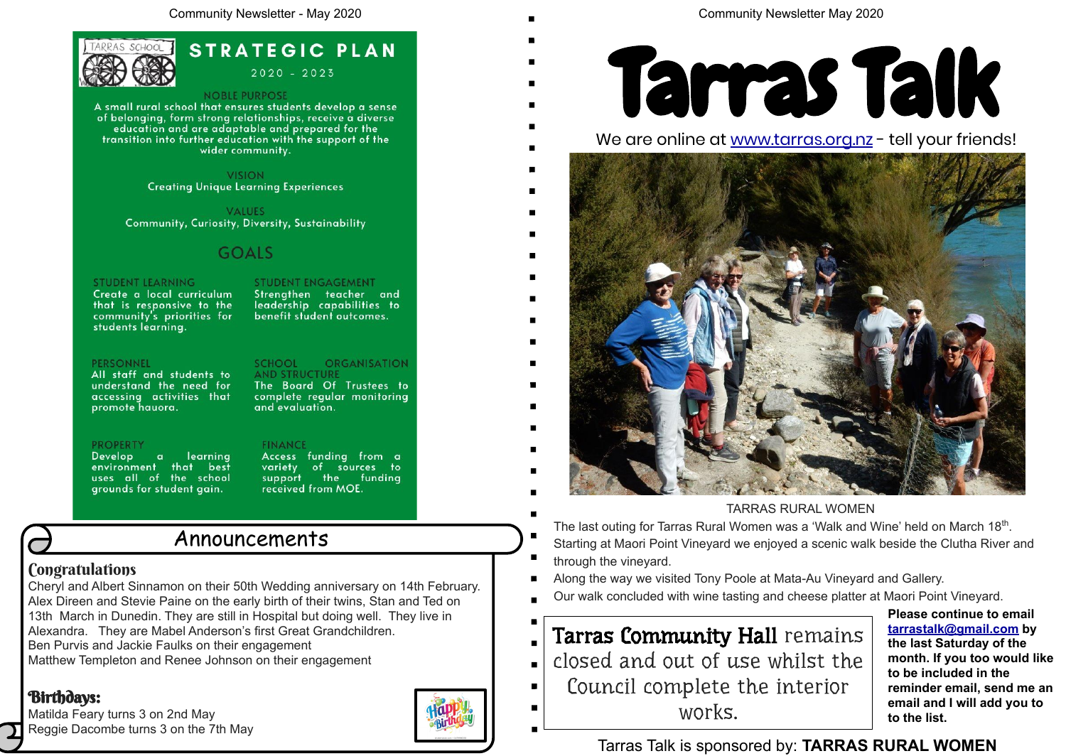Cheryl and Albert Sinnamon on their 50th Wedding anniversary on 14th February. Alex Direen and Stevie Paine on the early birth of their twins, Stan and Ted on 13th March in Dunedin. They are still in Hospital but doing well. They live in Alexandra. They are Mabel Anderson's first Great Grandchildren. Ben Purvis and Jackie Faulks on their engagement Matthew Templeton and Renee Johnson on their engagement

# Birthdays:

Matilda Feary turns 3 on 2nd May Reggie Dacombe turns 3 on the 7th May



Community Newsletter May 2020

# Announcements

### **Congratulations**



**STRATEGIC PLAN**  $2020 - 2023$ 

#### **NOBLE PURPOSE**

A small rural school that ensures students develop a sense of belonging, form strong relationships, receive a diverse education and are adaptable and prepared for the transition into further education with the support of the wider community.

> **VISION Creating Unique Learning Experiences**

**VALUES** Community, Curiosity, Diversity, Sustainability

# **GOALS**

### **STUDENT LEARNING**

Create a local curriculum that is responsive to the community's priorities for students learning.

### **PERSONNEL**

All staff and students to understand the need for accessing activities that promote hauora.

### **PROPERTY**

Develop a learning environment that best uses all of the school grounds for student gain.

### **STUDENT ENGAGEMENT**

Strengthen teacher and leadership capabilities to benefit student outcomes.

#### **ORGANISATION SCHOOL AND STRUCTURE**

The Board Of Trustees to complete regular monitoring and evaluation.

### **FINANCE**

Access funding from a variety of sources to<br>support the funding received from MOE.

> **Please continue to email [tarrastalk@gmail.com](mailto:tarrastalk@gmail.com) by the last Saturday of the month. If you too would like to be included in the reminder email, send me an email and I will add you to to the list.**

# Tarras Talk is sponsored by: **TARRAS RURAL WOMEN**



- closed and out of use whilst the  $\blacksquare$ 
	- Council complete the interior works.

- TARRAS RURAL WOMEN
- The last outing for Tarras Rural Women was a 'Walk and Wine' held on March 18<sup>th</sup>. Starting at Maori Point Vineyard we enjoyed a scenic walk beside the Clutha River and
- through the vineyard.
- Along the way we visited Tony Poole at Mata-Au Vineyard and Gallery.
- Our walk concluded with wine tasting and cheese platter at Maori Point Vineyard.

# Tarras Community Hall remains